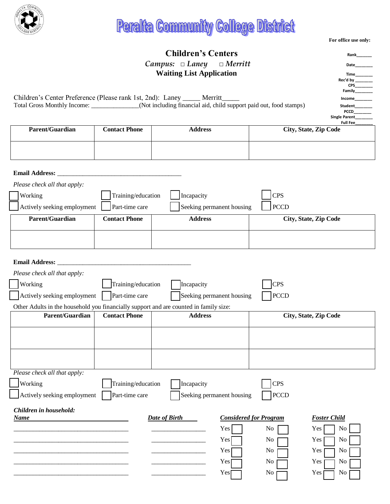

## **Peralta Community College District:**

|                                                                                                             |                      | <b>Children's Centers</b>               |                              | Rank                         |  |  |
|-------------------------------------------------------------------------------------------------------------|----------------------|-----------------------------------------|------------------------------|------------------------------|--|--|
| $Campus: \Box$ Laney<br>$\Box$ Merritt                                                                      |                      |                                         |                              | Date                         |  |  |
|                                                                                                             |                      | <b>Waiting List Application</b>         |                              | Time                         |  |  |
|                                                                                                             |                      |                                         |                              | Rec'd by<br><b>CPS</b>       |  |  |
| Children's Center Preference (Please rank 1st, 2nd): Laney _____ Merritt_                                   |                      |                                         |                              | Family<br>Income             |  |  |
| Total Gross Monthly Income: _____________(Not including financial aid, child support paid out, food stamps) |                      |                                         |                              |                              |  |  |
|                                                                                                             |                      |                                         |                              | <b>PCCD</b><br>Single Parent |  |  |
| Parent/Guardian                                                                                             | <b>Contact Phone</b> | <b>Address</b>                          | City, State, Zip Code        | Full Fee                     |  |  |
|                                                                                                             |                      |                                         |                              |                              |  |  |
|                                                                                                             |                      |                                         |                              |                              |  |  |
|                                                                                                             |                      |                                         |                              |                              |  |  |
|                                                                                                             |                      |                                         |                              |                              |  |  |
| Email Address: _                                                                                            |                      |                                         |                              |                              |  |  |
| Please check all that apply:                                                                                |                      |                                         |                              |                              |  |  |
| Working                                                                                                     | Training/education   | Incapacity                              | <b>CPS</b>                   |                              |  |  |
| Actively seeking employment                                                                                 | Part-time care       | Seeking permanent housing               | <b>PCCD</b>                  |                              |  |  |
| Parent/Guardian                                                                                             | <b>Contact Phone</b> | <b>Address</b>                          | City, State, Zip Code        |                              |  |  |
|                                                                                                             |                      |                                         |                              |                              |  |  |
|                                                                                                             |                      |                                         |                              |                              |  |  |
|                                                                                                             |                      |                                         |                              |                              |  |  |
| Email Address: _                                                                                            |                      |                                         |                              |                              |  |  |
| Please check all that apply:                                                                                |                      |                                         |                              |                              |  |  |
| Working                                                                                                     | Training/education   | Incapacity                              | <b>CPS</b>                   |                              |  |  |
| Actively seeking employment                                                                                 | Part-time care       | Seeking permanent housing               | <b>PCCD</b>                  |                              |  |  |
| Other Adults in the household you financially support and are counted in family size:                       |                      |                                         |                              |                              |  |  |
| Parent/Guardian                                                                                             | <b>Contact Phone</b> | <b>Address</b><br>City, State, Zip Code |                              |                              |  |  |
|                                                                                                             |                      |                                         |                              |                              |  |  |
|                                                                                                             |                      |                                         |                              |                              |  |  |
|                                                                                                             |                      |                                         |                              |                              |  |  |
|                                                                                                             |                      |                                         |                              |                              |  |  |
| Please check all that apply:                                                                                |                      |                                         |                              |                              |  |  |
|                                                                                                             |                      |                                         |                              |                              |  |  |
| Working                                                                                                     | Training/education   | Incapacity                              | <b>CPS</b>                   |                              |  |  |
| Actively seeking employment                                                                                 | Part-time care       | Seeking permanent housing               | <b>PCCD</b>                  |                              |  |  |
| Children in household:                                                                                      |                      |                                         |                              |                              |  |  |
| <b>Date of Birth</b><br><b>Considered for Program</b><br><b>Foster Child</b><br><b>Name</b>                 |                      |                                         |                              |                              |  |  |
|                                                                                                             |                      | Yes                                     | No<br>Yes                    | No                           |  |  |
|                                                                                                             |                      | Yes                                     | No<br>Yes                    | N <sub>0</sub>               |  |  |
|                                                                                                             |                      | Yes                                     | No<br>Yes                    | No                           |  |  |
|                                                                                                             |                      | Yes                                     | No<br>Yes                    | No                           |  |  |
|                                                                                                             |                      | Yes                                     | N <sub>o</sub><br><b>Yes</b> | N <sub>0</sub>               |  |  |